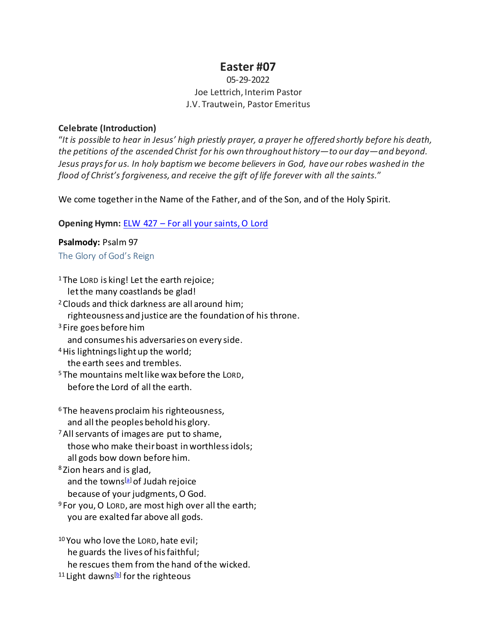# **Easter #07**

# 05-29-2022 Joe Lettrich, Interim Pastor J.V. Trautwein, Pastor Emeritus

#### **Celebrate (Introduction)**

"*It is possible to hear in Jesus' high priestly prayer, a prayer he offered shortly before his death, the petitions of the ascended Christ for his own throughout history—to our day—and beyond. Jesus prays for us. In holy baptism we become believers in God, have our robes washed in the flood of Christ's forgiveness, and receive the gift of life forever with all the saints.*"

We come together in the Name of the Father, and of the Son, and of the Holy Spirit.

## **Opening Hymn:** [ELW 427 – For all your saints, O Lord](https://www.youtube.com/watch?v=0Cvc8PPpvIk)

#### **Psalmody:** Psalm 97

## The Glory of God's Reign

| <sup>1</sup> The LORD is king! Let the earth rejoice;           |
|-----------------------------------------------------------------|
| let the many coastlands be glad!                                |
| <sup>2</sup> Clouds and thick darkness are all around him;      |
| righteousness and justice are the foundation of his throne.     |
| <sup>3</sup> Fire goes before him                               |
| and consumes his adversaries on every side.                     |
| <sup>4</sup> His lightnings light up the world;                 |
| the earth sees and trembles.                                    |
| <sup>5</sup> The mountains melt like wax before the LORD,       |
| before the Lord of all the earth.                               |
| <sup>6</sup> The heavens proclaim his righteousness,            |
| and all the peoples behold his glory.                           |
| <sup>7</sup> All servants of images are put to shame,           |
| those who make their boast in worthless idols;                  |
| all gods bow down before him.                                   |
| <sup>8</sup> Zion hears and is glad,                            |
| and the towns <sup>[a]</sup> of Judah rejoice                   |
| because of your judgments, O God.                               |
| <sup>9</sup> For you, O LORD, are most high over all the earth; |
| you are exalted far above all gods.                             |
| <sup>10</sup> You who love the LORD, hate evil;                 |
| he guards the lives of his faithful;                            |
| he rescues them from the hand of the wicked.                    |

11 Light dawns<sup>[b]</sup> for the righteous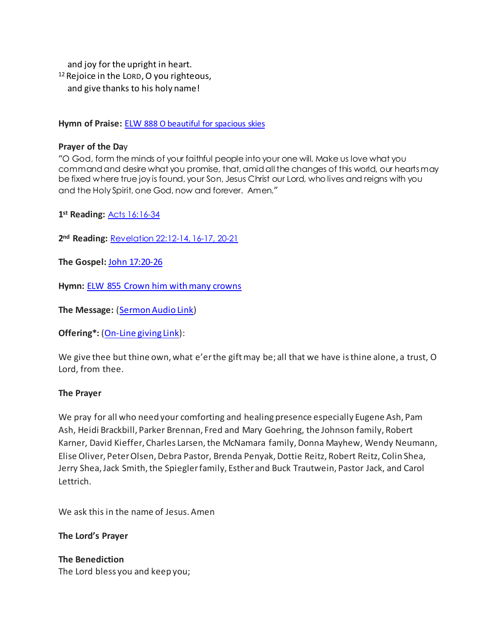and joy for the upright in heart. 12Rejoice in the LORD, O you righteous, and give thanks to his holy name!

**Hymn of Praise:** ELW 888 [O beautiful for spacious skies](https://www.youtube.com/watch?v=pZalFp9WUyM)

#### **Prayer of the Da**y

"O God, form the minds of your faithful people into your one will. Make us love what you command and desire what you promise, that, amid all the changes of this world, our hearts may be fixed where true joy is found, your Son, Jesus Christ our Lord, who lives and reigns with you and the Holy Spirit, one God, now and forever. Amen."

**1st Reading:** [Acts 16:16-34](https://www.biblegateway.com/passage/?search=acts+16%3A16-34&version=NRSVUE)

**2nd Reading:** [Revelation 22:12-14, 16-17, 20-21](https://www.biblegateway.com/passage/?search=Revelation+22%3A12-14%2C+16-17%2C+20-21&version=NRSVUE)

**The Gospel:** [John 17:20-26](https://www.biblegateway.com/passage/?search=John+17%3A20-26&version=NRSVUE)

**Hymn:** [ELW 855 Crown him with many crowns](https://www.youtube.com/watch?v=pZalFp9WUyM)

**The Message:** [\(Sermon Audio](https://www.epiphanylutherancolumbia.org/sermons/sermon_20220529.mp3) Link)

**Offering\*:** [\(On-Line giving Link\)](https://tithe.ly/give_new/www/#/tithely/give-one-time/2627291):

We give thee but thine own, what e'er the gift may be; all that we have is thine alone, a trust, O Lord, from thee.

#### **The Prayer**

We pray for all who need your comforting and healing presence especially Eugene Ash, Pam Ash, Heidi Brackbill, Parker Brennan, Fred and Mary Goehring, the Johnson family, Robert Karner, David Kieffer, Charles Larsen, the McNamara family, Donna Mayhew, Wendy Neumann, Elise Oliver, Peter Olsen, Debra Pastor, Brenda Penyak, Dottie Reitz, Robert Reitz, Colin Shea, Jerry Shea, Jack Smith, the Spiegler family, Esther and Buck Trautwein, Pastor Jack, and Carol Lettrich.

We ask this in the name of Jesus. Amen

**The Lord's Prayer**

**The Benediction** The Lord bless you and keep you;